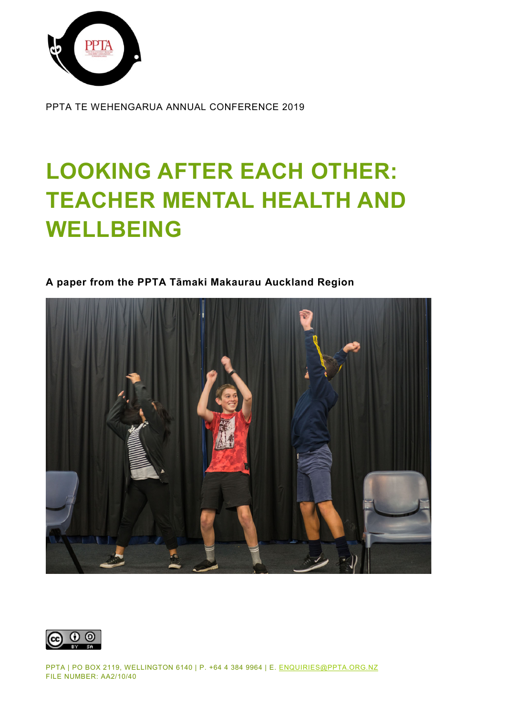

PPTA TE WEHENGARUA ANNUAL CONFERENCE 2019

# **LOOKING AFTER EACH OTHER: TEACHER MENTAL HEALTH AND WELLBEING**

## **A paper from the PPTA Tāmaki Makaurau Auckland Region**



 $\odot$   $\odot$ 

PPTA | PO BOX 2119, WELLINGTON 6140 | P. +64 4 384 9964 | E. [ENQUIRIES@PPTA.ORG.NZ](mailto:enquiries@ppta.org.nz) FILE NUMBER: AA2/10/40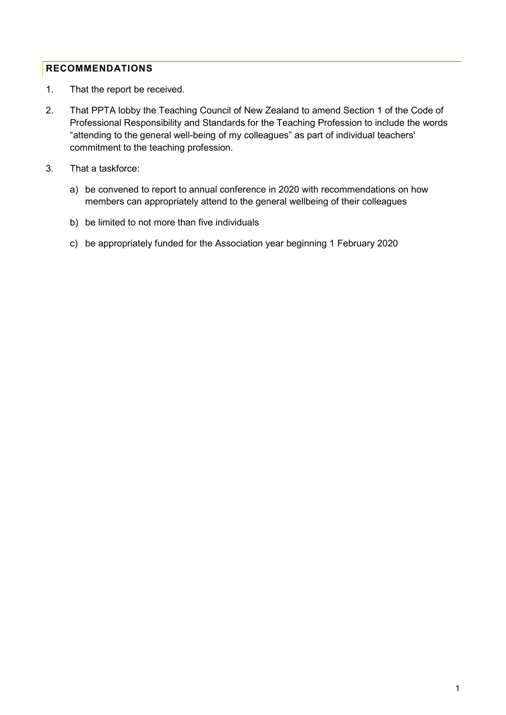#### <span id="page-1-0"></span>**RECOMMENDATIONS**

- 1. That the report be received.
- 2. That PPTA lobby the Teaching Council of New Zealand to amend Section 1 of the Code of Professional Responsibility and Standards for the Teaching Profession to include the words "attending to the general well-being of my colleagues" as part of individual teachers' commitment to the teaching profession.
- 3. That a taskforce:
	- a) be convened to report to annual conference in 2020 with recommendations on how members can appropriately attend to the general wellbeing of their colleagues
	- b) be limited to not more than five individuals
	- c) be appropriately funded for the Association year beginning 1 February 2020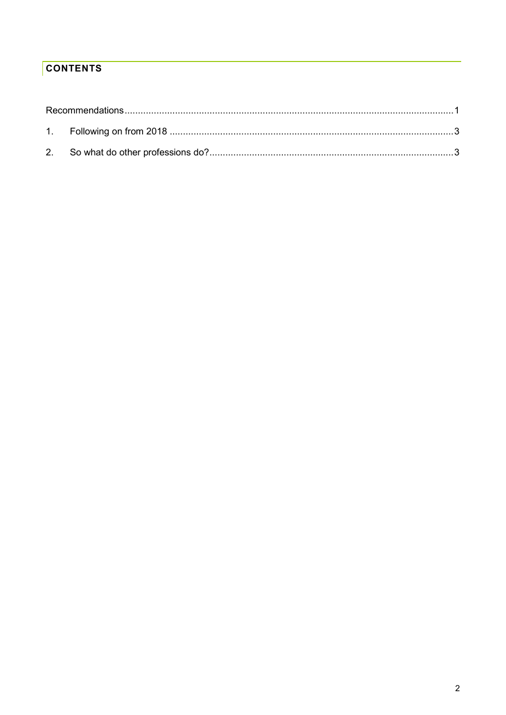## **CONTENTS**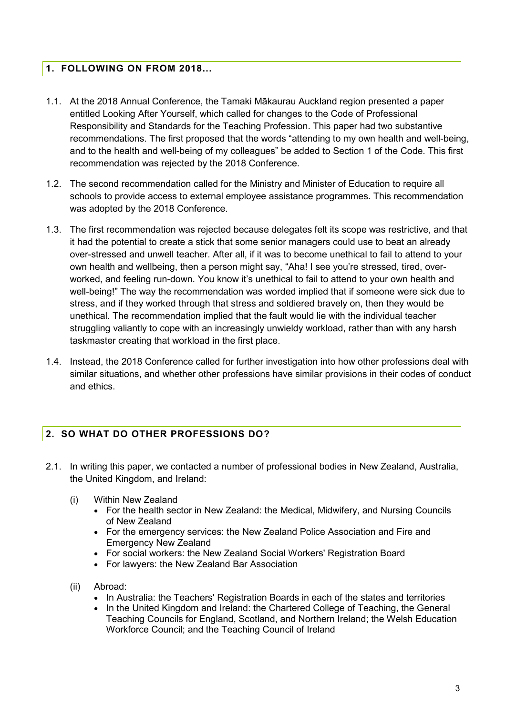### <span id="page-3-0"></span>**1. FOLLOWING ON FROM 2018...**

- 1.1. At the 2018 Annual Conference, the Tamaki Mākaurau Auckland region presented a paper entitled Looking After Yourself, which called for changes to the Code of Professional Responsibility and Standards for the Teaching Profession. This paper had two substantive recommendations. The first proposed that the words "attending to my own health and well-being, and to the health and well-being of my colleagues" be added to Section 1 of the Code. This first recommendation was rejected by the 2018 Conference.
- 1.2. The second recommendation called for the Ministry and Minister of Education to require all schools to provide access to external employee assistance programmes. This recommendation was adopted by the 2018 Conference.
- 1.3. The first recommendation was rejected because delegates felt its scope was restrictive, and that it had the potential to create a stick that some senior managers could use to beat an already over-stressed and unwell teacher. After all, if it was to become unethical to fail to attend to your own health and wellbeing, then a person might say, "Aha! I see you're stressed, tired, overworked, and feeling run-down. You know it's unethical to fail to attend to your own health and well-being!" The way the recommendation was worded implied that if someone were sick due to stress, and if they worked through that stress and soldiered bravely on, then they would be unethical. The recommendation implied that the fault would lie with the individual teacher struggling valiantly to cope with an increasingly unwieldy workload, rather than with any harsh taskmaster creating that workload in the first place.
- 1.4. Instead, the 2018 Conference called for further investigation into how other professions deal with similar situations, and whether other professions have similar provisions in their codes of conduct and ethics.

## <span id="page-3-1"></span>**2. SO WHAT DO OTHER PROFESSIONS DO?**

- 2.1. In writing this paper, we contacted a number of professional bodies in New Zealand, Australia, the United Kingdom, and Ireland:
	- (i) Within New Zealand
		- For the health sector in New Zealand: the Medical, Midwifery, and Nursing Councils of New Zealand
		- For the emergency services: the New Zealand Police Association and Fire and Emergency New Zealand
		- For social workers: the New Zealand Social Workers' Registration Board
		- For lawyers: the New Zealand Bar Association
	- (ii) Abroad:
		- In Australia: the Teachers' Registration Boards in each of the states and territories
		- In the United Kingdom and Ireland: the Chartered College of Teaching, the General Teaching Councils for England, Scotland, and Northern Ireland; the Welsh Education Workforce Council; and the Teaching Council of Ireland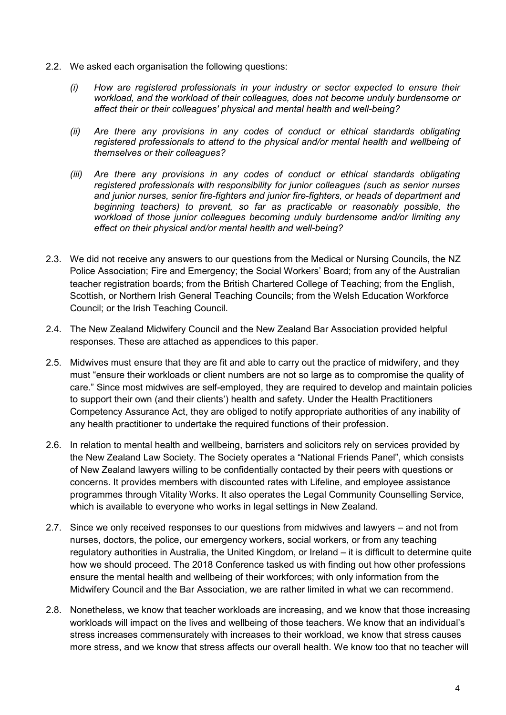- 2.2. We asked each organisation the following questions:
	- *(i) How are registered professionals in your industry or sector expected to ensure their workload, and the workload of their colleagues, does not become unduly burdensome or affect their or their colleagues' physical and mental health and well-being?*
	- *(ii) Are there any provisions in any codes of conduct or ethical standards obligating registered professionals to attend to the physical and/or mental health and wellbeing of themselves or their colleagues?*
	- *(iii) Are there any provisions in any codes of conduct or ethical standards obligating registered professionals with responsibility for junior colleagues (such as senior nurses and junior nurses, senior fire-fighters and junior fire-fighters, or heads of department and beginning teachers) to prevent, so far as practicable or reasonably possible, the workload of those junior colleagues becoming unduly burdensome and/or limiting any effect on their physical and/or mental health and well-being?*
- 2.3. We did not receive any answers to our questions from the Medical or Nursing Councils, the NZ Police Association; Fire and Emergency; the Social Workers' Board; from any of the Australian teacher registration boards; from the British Chartered College of Teaching; from the English, Scottish, or Northern Irish General Teaching Councils; from the Welsh Education Workforce Council; or the Irish Teaching Council.
- 2.4. The New Zealand Midwifery Council and the New Zealand Bar Association provided helpful responses. These are attached as appendices to this paper.
- 2.5. Midwives must ensure that they are fit and able to carry out the practice of midwifery, and they must "ensure their workloads or client numbers are not so large as to compromise the quality of care." Since most midwives are self-employed, they are required to develop and maintain policies to support their own (and their clients') health and safety. Under the Health Practitioners Competency Assurance Act, they are obliged to notify appropriate authorities of any inability of any health practitioner to undertake the required functions of their profession.
- 2.6. In relation to mental health and wellbeing, barristers and solicitors rely on services provided by the New Zealand Law Society. The Society operates a "National Friends Panel", which consists of New Zealand lawyers willing to be confidentially contacted by their peers with questions or concerns. It provides members with discounted rates with Lifeline, and employee assistance programmes through Vitality Works. It also operates the Legal Community Counselling Service, which is available to everyone who works in legal settings in New Zealand.
- 2.7. Since we only received responses to our questions from midwives and lawyers and not from nurses, doctors, the police, our emergency workers, social workers, or from any teaching regulatory authorities in Australia, the United Kingdom, or Ireland – it is difficult to determine quite how we should proceed. The 2018 Conference tasked us with finding out how other professions ensure the mental health and wellbeing of their workforces; with only information from the Midwifery Council and the Bar Association, we are rather limited in what we can recommend.
- 2.8. Nonetheless, we know that teacher workloads are increasing, and we know that those increasing workloads will impact on the lives and wellbeing of those teachers. We know that an individual's stress increases commensurately with increases to their workload, we know that stress causes more stress, and we know that stress affects our overall health. We know too that no teacher will